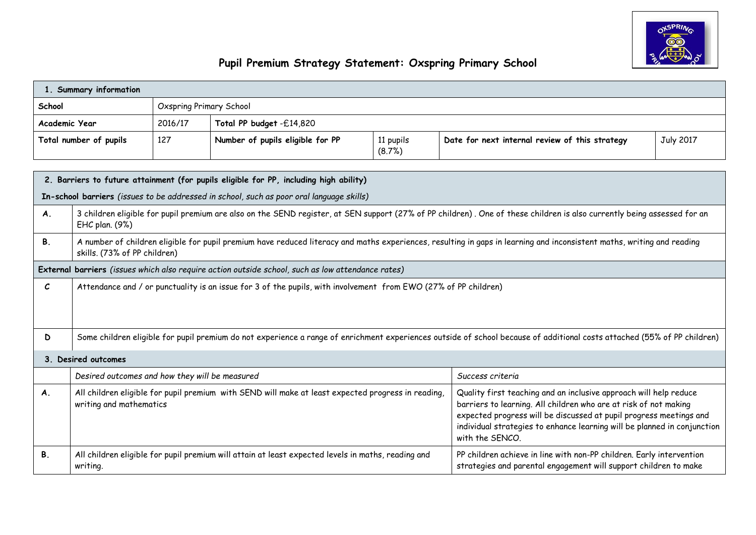

## **Pupil Premium Strategy Statement: Oxspring Primary School**

| 1. Summary information |                                                                                                                                                                                                                                                                                                                                                                                                                                             |                                |                                                                                                    |                     |                                                                                                                                                                          |                  |  |  |  |  |
|------------------------|---------------------------------------------------------------------------------------------------------------------------------------------------------------------------------------------------------------------------------------------------------------------------------------------------------------------------------------------------------------------------------------------------------------------------------------------|--------------------------------|----------------------------------------------------------------------------------------------------|---------------------|--------------------------------------------------------------------------------------------------------------------------------------------------------------------------|------------------|--|--|--|--|
| School                 |                                                                                                                                                                                                                                                                                                                                                                                                                                             | <b>Oxspring Primary School</b> |                                                                                                    |                     |                                                                                                                                                                          |                  |  |  |  |  |
| Academic Year          |                                                                                                                                                                                                                                                                                                                                                                                                                                             | 2016/17                        | Total PP budget -£14,820                                                                           |                     |                                                                                                                                                                          |                  |  |  |  |  |
| Total number of pupils |                                                                                                                                                                                                                                                                                                                                                                                                                                             | 127                            | Number of pupils eligible for PP                                                                   | 11 pupils<br>(8.7%) | Date for next internal review of this strategy                                                                                                                           | <b>July 2017</b> |  |  |  |  |
|                        |                                                                                                                                                                                                                                                                                                                                                                                                                                             |                                |                                                                                                    |                     |                                                                                                                                                                          |                  |  |  |  |  |
|                        |                                                                                                                                                                                                                                                                                                                                                                                                                                             |                                | 2. Barriers to future attainment (for pupils eligible for PP, including high ability)              |                     |                                                                                                                                                                          |                  |  |  |  |  |
|                        |                                                                                                                                                                                                                                                                                                                                                                                                                                             |                                | In-school barriers (issues to be addressed in school, such as poor oral language skills)           |                     |                                                                                                                                                                          |                  |  |  |  |  |
| <b>A.</b>              | EHC plan. (9%)                                                                                                                                                                                                                                                                                                                                                                                                                              |                                |                                                                                                    |                     | 3 children eligible for pupil premium are also on the SEND register, at SEN support (27% of PP children). One of these children is also currently being assessed for an  |                  |  |  |  |  |
| Β.                     | skills. (73% of PP children)                                                                                                                                                                                                                                                                                                                                                                                                                |                                |                                                                                                    |                     | A number of children eligible for pupil premium have reduced literacy and maths experiences, resulting in gaps in learning and inconsistent maths, writing and reading   |                  |  |  |  |  |
|                        |                                                                                                                                                                                                                                                                                                                                                                                                                                             |                                | External barriers (issues which also require action outside school, such as low attendance rates)  |                     |                                                                                                                                                                          |                  |  |  |  |  |
| $\mathcal{C}$          | Attendance and / or punctuality is an issue for 3 of the pupils, with involvement from EWO (27% of PP children)                                                                                                                                                                                                                                                                                                                             |                                |                                                                                                    |                     |                                                                                                                                                                          |                  |  |  |  |  |
| D                      |                                                                                                                                                                                                                                                                                                                                                                                                                                             |                                |                                                                                                    |                     | Some children eligible for pupil premium do not experience a range of enrichment experiences outside of school because of additional costs attached (55% of PP children) |                  |  |  |  |  |
|                        | 3. Desired outcomes                                                                                                                                                                                                                                                                                                                                                                                                                         |                                |                                                                                                    |                     |                                                                                                                                                                          |                  |  |  |  |  |
|                        | Desired outcomes and how they will be measured<br>Success criteria                                                                                                                                                                                                                                                                                                                                                                          |                                |                                                                                                    |                     |                                                                                                                                                                          |                  |  |  |  |  |
| <b>A.</b>              | All children eligible for pupil premium with SEND will make at least expected progress in reading,<br>Quality first teaching and an inclusive approach will help reduce<br>barriers to learning. All children who are at risk of not making<br>writing and mathematics<br>expected progress will be discussed at pupil progress meetings and<br>individual strategies to enhance learning will be planned in conjunction<br>with the SENCO. |                                |                                                                                                    |                     |                                                                                                                                                                          |                  |  |  |  |  |
| <b>B.</b>              | writing.                                                                                                                                                                                                                                                                                                                                                                                                                                    |                                | All children eligible for pupil premium will attain at least expected levels in maths, reading and |                     | PP children achieve in line with non-PP children. Early intervention<br>strategies and parental engagement will support children to make                                 |                  |  |  |  |  |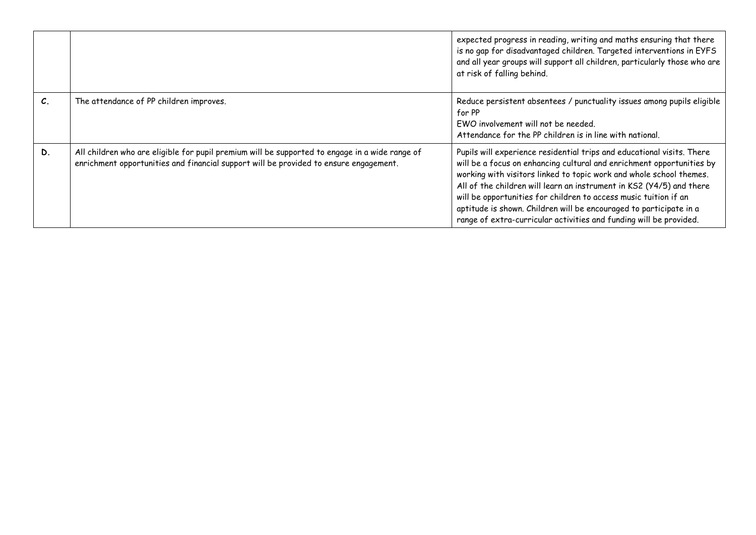|                 |                                                                                                                                                                                         | expected progress in reading, writing and maths ensuring that there<br>is no gap for disadvantaged children. Targeted interventions in EYFS<br>and all year groups will support all children, particularly those who are<br>at risk of falling behind.                                                                                                                                                                                                                                                         |
|-----------------|-----------------------------------------------------------------------------------------------------------------------------------------------------------------------------------------|----------------------------------------------------------------------------------------------------------------------------------------------------------------------------------------------------------------------------------------------------------------------------------------------------------------------------------------------------------------------------------------------------------------------------------------------------------------------------------------------------------------|
| $\mathcal{C}$ . | The attendance of PP children improves.                                                                                                                                                 | Reduce persistent absentees / punctuality issues among pupils eligible<br>for PP<br>EWO involvement will not be needed.<br>Attendance for the PP children is in line with national.                                                                                                                                                                                                                                                                                                                            |
| D.              | All children who are eligible for pupil premium will be supported to engage in a wide range of<br>enrichment opportunities and financial support will be provided to ensure engagement. | Pupils will experience residential trips and educational visits. There<br>will be a focus on enhancing cultural and enrichment opportunities by<br>working with visitors linked to topic work and whole school themes.<br>All of the children will learn an instrument in KS2 (Y4/5) and there<br>will be opportunities for children to access music tuition if an<br>aptitude is shown. Children will be encouraged to participate in a<br>range of extra-curricular activities and funding will be provided. |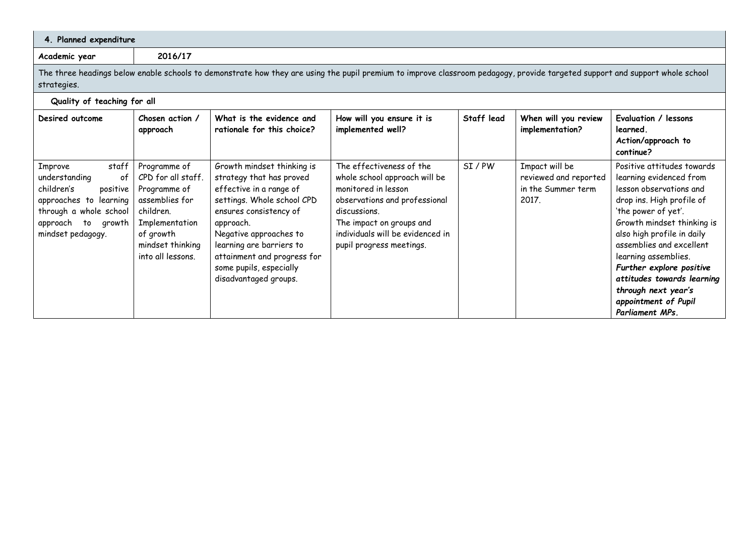| 4. Planned expenditure                                                                                                                                                                      |                                                                                                                                                           |                                                                                                                                                                                                                                                                                                 |                                                                                                                                                                                                                               |            |                                                                        |                                                                                                                                                                                                                                                                                                                                                                                  |  |
|---------------------------------------------------------------------------------------------------------------------------------------------------------------------------------------------|-----------------------------------------------------------------------------------------------------------------------------------------------------------|-------------------------------------------------------------------------------------------------------------------------------------------------------------------------------------------------------------------------------------------------------------------------------------------------|-------------------------------------------------------------------------------------------------------------------------------------------------------------------------------------------------------------------------------|------------|------------------------------------------------------------------------|----------------------------------------------------------------------------------------------------------------------------------------------------------------------------------------------------------------------------------------------------------------------------------------------------------------------------------------------------------------------------------|--|
| Academic year                                                                                                                                                                               | 2016/17                                                                                                                                                   |                                                                                                                                                                                                                                                                                                 |                                                                                                                                                                                                                               |            |                                                                        |                                                                                                                                                                                                                                                                                                                                                                                  |  |
| The three headings below enable schools to demonstrate how they are using the pupil premium to improve classroom pedagogy, provide targeted support and support whole school<br>strategies. |                                                                                                                                                           |                                                                                                                                                                                                                                                                                                 |                                                                                                                                                                                                                               |            |                                                                        |                                                                                                                                                                                                                                                                                                                                                                                  |  |
| Quality of teaching for all                                                                                                                                                                 |                                                                                                                                                           |                                                                                                                                                                                                                                                                                                 |                                                                                                                                                                                                                               |            |                                                                        |                                                                                                                                                                                                                                                                                                                                                                                  |  |
| Desired outcome                                                                                                                                                                             | Chosen action /<br>approach                                                                                                                               | What is the evidence and<br>rationale for this choice?                                                                                                                                                                                                                                          | How will you ensure it is<br>implemented well?                                                                                                                                                                                | Staff lead | When will you review<br>implementation?                                | Evaluation / lessons<br>learned.<br>Action/approach to<br>continue?                                                                                                                                                                                                                                                                                                              |  |
| staff<br>Improve<br>understanding<br>0f<br>children's<br>positive<br>approaches to learning<br>through a whole school<br>approach<br>growth<br>to<br>mindset pedagogy.                      | Programme of<br>CPD for all staff.<br>Programme of<br>assemblies for<br>children.<br>Implementation<br>of growth<br>mindset thinking<br>into all lessons. | Growth mindset thinking is<br>strategy that has proved<br>effective in a range of<br>settings. Whole school CPD<br>ensures consistency of<br>approach.<br>Negative approaches to<br>learning are barriers to<br>attainment and progress for<br>some pupils, especially<br>disadvantaged groups. | The effectiveness of the<br>whole school approach will be<br>monitored in lesson<br>observations and professional<br>discussions.<br>The impact on groups and<br>individuals will be evidenced in<br>pupil progress meetings. | SI/PW      | Impact will be<br>reviewed and reported<br>in the Summer term<br>2017. | Positive attitudes towards<br>learning evidenced from<br>lesson observations and<br>drop ins. High profile of<br>'the power of yet'.<br>Growth mindset thinking is<br>also high profile in daily<br>assemblies and excellent<br>learning assemblies.<br>Further explore positive<br>attitudes towards learning<br>through next year's<br>appointment of Pupil<br>Parliament MPs. |  |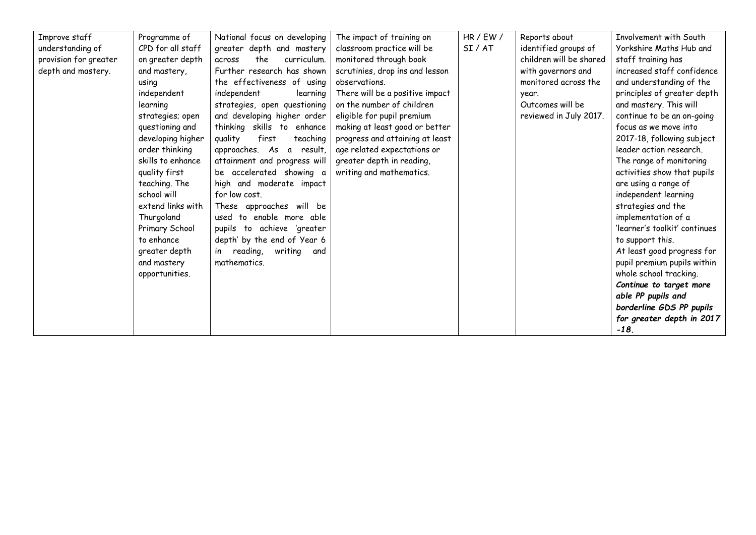| Improve staff         | Programme of      | National focus on developing      | The impact of training on       | HR / EW / | Reports about             | Involvement with South        |
|-----------------------|-------------------|-----------------------------------|---------------------------------|-----------|---------------------------|-------------------------------|
| understanding of      | CPD for all staff | greater depth and mastery         | classroom practice will be      | SI/AT     | identified groups of      | Yorkshire Maths Hub and       |
| provision for greater | on greater depth  | the<br>curriculum.<br>across      | monitored through book          |           | children will be shared   | staff training has            |
| depth and mastery.    | and mastery,      | Further research has shown        | scrutinies, drop ins and lesson |           | with governors and        | increased staff confidence    |
|                       | using             | the effectiveness of using        | observations.                   |           | monitored across the      | and understanding of the      |
|                       | independent       | independent                       | There will be a positive impact |           |                           | principles of greater depth   |
|                       |                   | learning                          |                                 |           | year.<br>Outcomes will be |                               |
|                       | learning          | strategies, open questioning      | on the number of children       |           |                           | and mastery. This will        |
|                       | strategies; open  | and developing higher order       | eligible for pupil premium      |           | reviewed in July 2017.    | continue to be an on-going    |
|                       | questioning and   | thinking skills to enhance        | making at least good or better  |           |                           | focus as we move into         |
|                       | developing higher | first<br>quality<br>teaching      | progress and attaining at least |           |                           | 2017-18, following subject    |
|                       | order thinking    | approaches. As a result,          | age related expectations or     |           |                           | leader action research.       |
|                       | skills to enhance | attainment and progress will      | greater depth in reading,       |           |                           | The range of monitoring       |
|                       | quality first     | be accelerated showing a          | writing and mathematics.        |           |                           | activities show that pupils   |
|                       | teaching. The     | high and moderate impact          |                                 |           |                           | are using a range of          |
|                       | school will       | for low cost.                     |                                 |           |                           | independent learning          |
|                       | extend links with | These approaches will be          |                                 |           |                           | strategies and the            |
|                       | Thurgoland        | used to enable more able          |                                 |           |                           | implementation of a           |
|                       | Primary School    | pupils to achieve 'greater        |                                 |           |                           | 'learner's toolkit' continues |
|                       | to enhance        | depth' by the end of Year 6       |                                 |           |                           | to support this.              |
|                       | greater depth     | reading,<br>writing<br>in.<br>and |                                 |           |                           | At least good progress for    |
|                       | and mastery       | mathematics.                      |                                 |           |                           | pupil premium pupils within   |
|                       | opportunities.    |                                   |                                 |           |                           | whole school tracking.        |
|                       |                   |                                   |                                 |           |                           | Continue to target more       |
|                       |                   |                                   |                                 |           |                           | able PP pupils and            |
|                       |                   |                                   |                                 |           |                           | borderline GDS PP pupils      |
|                       |                   |                                   |                                 |           |                           | for greater depth in 2017     |
|                       |                   |                                   |                                 |           |                           | $-18.$                        |
|                       |                   |                                   |                                 |           |                           |                               |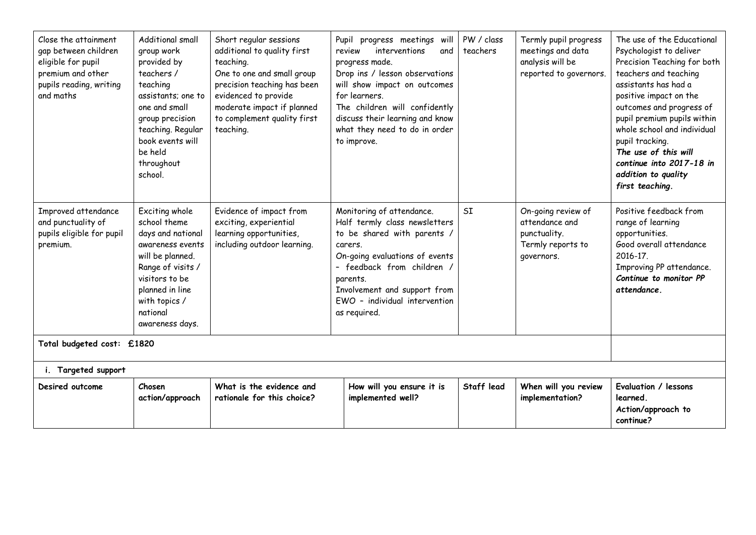| Close the attainment<br>gap between children<br>eligible for pupil<br>premium and other<br>pupils reading, writing<br>and maths | Additional small<br>group work<br>provided by<br>teachers /<br>teaching<br>assistants; one to<br>one and small<br>group precision<br>teaching. Regular<br>book events will<br>be held<br>throughout<br>school. | Short regular sessions<br>additional to quality first<br>teaching.<br>One to one and small group<br>precision teaching has been<br>evidenced to provide<br>moderate impact if planned<br>to complement quality first<br>teaching. | review  | Pupil progress meetings will<br>interventions<br>and<br>progress made.<br>Drop ins / lesson observations<br>will show impact on outcomes<br>for learners.<br>The children will confidently<br>discuss their learning and know<br>what they need to do in order<br>to improve. | PW / class<br>teachers | Termly pupil progress<br>meetings and data<br>analysis will be<br>reported to governors. | The use of the Educational<br>Psychologist to deliver<br>Precision Teaching for both<br>teachers and teaching<br>assistants has had a<br>positive impact on the<br>outcomes and progress of<br>pupil premium pupils within<br>whole school and individual<br>pupil tracking.<br>The use of this will<br>continue into 2017-18 in<br>addition to quality<br>first teaching. |  |  |
|---------------------------------------------------------------------------------------------------------------------------------|----------------------------------------------------------------------------------------------------------------------------------------------------------------------------------------------------------------|-----------------------------------------------------------------------------------------------------------------------------------------------------------------------------------------------------------------------------------|---------|-------------------------------------------------------------------------------------------------------------------------------------------------------------------------------------------------------------------------------------------------------------------------------|------------------------|------------------------------------------------------------------------------------------|----------------------------------------------------------------------------------------------------------------------------------------------------------------------------------------------------------------------------------------------------------------------------------------------------------------------------------------------------------------------------|--|--|
| Improved attendance<br>and punctuality of<br>pupils eligible for pupil<br>premium.                                              | Exciting whole<br>school theme<br>days and national<br>awareness events<br>will be planned.<br>Range of visits /<br>visitors to be<br>planned in line<br>with topics /<br>national<br>awareness days.          | Evidence of impact from<br>exciting, experiential<br>learning opportunities,<br>including outdoor learning.                                                                                                                       | carers. | Monitoring of attendance.<br>Half termly class newsletters<br>to be shared with parents /<br>On-going evaluations of events<br>- feedback from children<br>parents.<br>Involvement and support from<br>EWO - individual intervention<br>as required.                          | SI                     | On-going review of<br>attendance and<br>punctuality.<br>Termly reports to<br>governors.  | Positive feedback from<br>range of learning<br>opportunities.<br>Good overall attendance<br>2016-17.<br>Improving PP attendance.<br>Continue to monitor PP<br>attendance.                                                                                                                                                                                                  |  |  |
| Total budgeted cost: £1820                                                                                                      |                                                                                                                                                                                                                |                                                                                                                                                                                                                                   |         |                                                                                                                                                                                                                                                                               |                        |                                                                                          |                                                                                                                                                                                                                                                                                                                                                                            |  |  |
| i. Targeted support                                                                                                             |                                                                                                                                                                                                                |                                                                                                                                                                                                                                   |         |                                                                                                                                                                                                                                                                               |                        |                                                                                          |                                                                                                                                                                                                                                                                                                                                                                            |  |  |
| Desired outcome                                                                                                                 | Chosen<br>action/approach                                                                                                                                                                                      | What is the evidence and<br>rationale for this choice?                                                                                                                                                                            |         | How will you ensure it is<br>implemented well?                                                                                                                                                                                                                                | Staff lead             | When will you review<br>implementation?                                                  | Evaluation / lessons<br>learned.<br>Action/approach to<br>continue?                                                                                                                                                                                                                                                                                                        |  |  |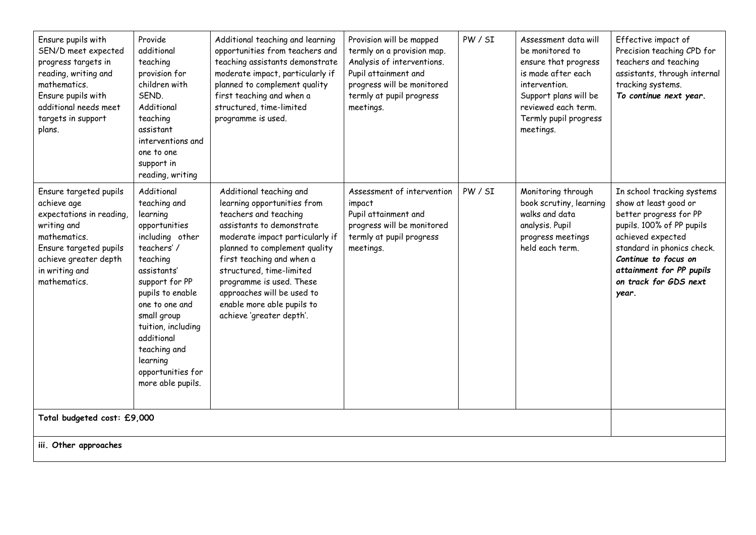| Ensure pupils with<br>SEN/D meet expected<br>progress targets in<br>reading, writing and<br>mathematics.<br>Ensure pupils with<br>additional needs meet<br>targets in support<br>plans. | Provide<br>additional<br>teaching<br>provision for<br>children with<br>SEND.<br>Additional<br>teaching<br>assistant<br>interventions and<br>one to one<br>support in<br>reading, writing                                                                                                             | Additional teaching and learning<br>opportunities from teachers and<br>teaching assistants demonstrate<br>moderate impact, particularly if<br>planned to complement quality<br>first teaching and when a<br>structured, time-limited<br>programme is used.                                                                                                    | Provision will be mapped<br>termly on a provision map.<br>Analysis of interventions.<br>Pupil attainment and<br>progress will be monitored<br>termly at pupil progress<br>meetings. | PW / SI | Assessment data will<br>be monitored to<br>ensure that progress<br>is made after each<br>intervention.<br>Support plans will be<br>reviewed each term.<br>Termly pupil progress<br>meetings. | Effective impact of<br>Precision teaching CPD for<br>teachers and teaching<br>assistants, through internal<br>tracking systems.<br>To continue next year.                                                                                           |  |
|-----------------------------------------------------------------------------------------------------------------------------------------------------------------------------------------|------------------------------------------------------------------------------------------------------------------------------------------------------------------------------------------------------------------------------------------------------------------------------------------------------|---------------------------------------------------------------------------------------------------------------------------------------------------------------------------------------------------------------------------------------------------------------------------------------------------------------------------------------------------------------|-------------------------------------------------------------------------------------------------------------------------------------------------------------------------------------|---------|----------------------------------------------------------------------------------------------------------------------------------------------------------------------------------------------|-----------------------------------------------------------------------------------------------------------------------------------------------------------------------------------------------------------------------------------------------------|--|
| Ensure targeted pupils<br>achieve age<br>expectations in reading,<br>writing and<br>mathematics.<br>Ensure targeted pupils<br>achieve greater depth<br>in writing and<br>mathematics.   | Additional<br>teaching and<br>learning<br>opportunities<br>including other<br>teachers'/<br>teaching<br>assistants'<br>support for PP<br>pupils to enable<br>one to one and<br>small group<br>tuition, including<br>additional<br>teaching and<br>learning<br>opportunities for<br>more able pupils. | Additional teaching and<br>learning opportunities from<br>teachers and teaching<br>assistants to demonstrate<br>moderate impact particularly if<br>planned to complement quality<br>first teaching and when a<br>structured, time-limited<br>programme is used. These<br>approaches will be used to<br>enable more able pupils to<br>achieve 'greater depth'. | Assessment of intervention<br>impact<br>Pupil attainment and<br>progress will be monitored<br>termly at pupil progress<br>meetings.                                                 | PW / SI | Monitoring through<br>book scrutiny, learning<br>walks and data<br>analysis. Pupil<br>progress meetings<br>held each term.                                                                   | In school tracking systems<br>show at least good or<br>better progress for PP<br>pupils. 100% of PP pupils<br>achieved expected<br>standard in phonics check.<br>Continue to focus on<br>attainment for PP pupils<br>on track for GDS next<br>year. |  |
| Total budgeted cost: £9,000                                                                                                                                                             |                                                                                                                                                                                                                                                                                                      |                                                                                                                                                                                                                                                                                                                                                               |                                                                                                                                                                                     |         |                                                                                                                                                                                              |                                                                                                                                                                                                                                                     |  |
| iii. Other approaches                                                                                                                                                                   |                                                                                                                                                                                                                                                                                                      |                                                                                                                                                                                                                                                                                                                                                               |                                                                                                                                                                                     |         |                                                                                                                                                                                              |                                                                                                                                                                                                                                                     |  |